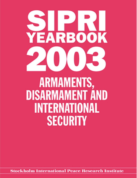# **YEARBOOK**

**ARMAMENTS, DISARMAMENT AND INTERNATIONAL SECURITY** 

**Stockholm International Peace Research Institute**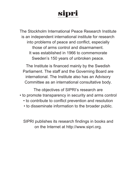## sipri

The Stockholm International Peace Research Institute is an independent international institute for research into problems of peace and conflict, especially those of arms control and disarmament. It was established in 1966 to commemorate Sweden's 150 years of unbroken peace.

The Institute is financed mainly by the Swedish Parliament. The staff and the Governing Board are international. The Institute also has an Advisory Committee as an international consultative body.

The objectives of SIPRI's research are • to promote transparency in security and arms control

- to contribute to conflict prevention and resolution
- to disseminate information to the broader public.

SIPRI publishes its research findings in books and on the Internet at http://www.sipri.org.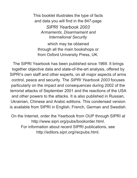This booklet illustrates the type of facts and data you will find in the 847-page *SIPRI Yearbook 2003 Armaments, Disarmament and International Security*

which may be obtained through all the main bookshops or from Oxford University Press, UK.

The SIPRI Yearbook has been published since 1969. It brings together objective data and state-of-the-art analysis, offered by SIPRI's own staff and other experts, on all major aspects of arms control, peace and security. The *SIPRI Yearbook 2003* focuses particularly on the impact and consequences during 2002 of the terrorist attacks of September 2001 and the reactions of the USA and other powers to the attacks. It is also published in Russian, Ukrainian, Chinese and Arabic editions. This condensed version is available from SIPRI in English, French, German and Swedish.

On the Internet, order the Yearbook from OUP through SIPRI at http://www.sipri.org/pubs/bookorder.html. For information about recent SIPRI publications, see http://editors.sipri.org/recpubs.html.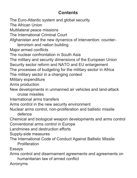### **Contents**

The Euro-Atlantic system and global security The African Union Multilateral peace missions The International Criminal Court Afghanistan and the new dynamics of intervention: counterterrorism and nation building Major armed conflicts The nuclear confrontation in South Asia The military and security dimensions of the European Union Security sector reform and NATO and EU enlargement The processes of budgeting for the military sector in Africa The military sector in a changing context Military expenditure Arms production New developments in unmanned air vehicles and land-attack cruise missiles International arms transfers Arms control in the new security environment Nuclear arms control, non-proliferation and ballistic missile defence Chemical and biological weapon developments and arms control Conventional arms control in Europe Landmines and destruction efforts Supply-side measures The International Code of Conduct Against Ballistic Missile Proliferation Essays Arms control and disarmament agreements and agreements on humanitarian law of armed conflict

Acronyms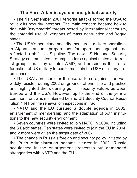### **The Euro-Atlantic system and global security**

• The 11 September 2001 terrorist attacks forced the USA to review its security interests. The main concern became how to deal with 'asymmetric' threats posed by international terrorism, the potential use of weapons of mass destruction and 'rogue states'.

• The USA's homeland security measures, military operations in Afghanistan and preparations for operations against Iraq reflected a shift in US policy. The new US National Security Strategy contemplates pre-emptive force against states or terrorist groups that may acquire WMD, and prescribes the transformation of US military forces to maintain the USA's military preeminence.

• The USA's pressure for the use of force against Iraq was widely resisted during 2002 on grounds of principle and practice and highlighted the widening gulf in security values between Europe and the USA. However, up to the end of the year a common front was maintained behind UN Security Council Resolution 1441 on the renewal of inspections in Iraq.

• NATO and the EU pursued a double agenda in 2002: enlargement of membership, and the adaptation of both institutions to the new security environment.

• Seven countries were invited to join NATO in 2004, including the 3 Baltic states. Ten states were invited to join the EU in 2004, and 2 more were given the target date of 2007.

• The change in Russia's foreign and security policy initiated by the Putin Administration became clearer in 2002. Russia acquiesced in the enlargement processes but demanded stronger ties with NATO and the EU.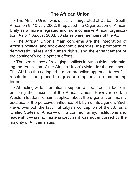• The African Union was officially inaugurated at Durban, South Africa, on 9–10 July 2002. It replaced the Organization of African Unity as a more integrated and more cohesive African organization. As of 1 August 2003, 53 states were members of the AU.

• The African Union's main concerns are the integration of Africa's political and socio-economic agendas, the promotion of democratic values and human rights, and the enhancement of the continent's development efforts.

• The persistence of ravaging conflicts in Africa risks undermining the realization of the African Union's vision for the continent. The AU has thus adopted a more proactive approach to conflict resolution and placed a greater emphasis on combating terrorism.

• Attracting wide international support will be a crucial factor in ensuring the success of the African Union. However, certain Western leaders remain sceptical about the organization, mainly because of the perceived influence of Libya on its agenda. Such views overlook the fact that Libya's conception of the AU as a 'United States of Africa'—with a common army, institutions and leadership—has not materialized, as it was not endorsed by the majority of African states.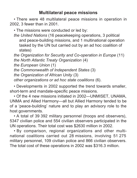### **Multilateral peace missions**

• There were 48 multilateral peace missions in operation in 2002, 3 fewer than in 2001.

• The missions were conducted or led by:

*the United Nations* (16 peacekeeping operations, 3 political and peace-building missions, and 1 multinational operation tasked by the UN but carried out by an ad hoc coalition of states)

*the Organization for Security and Co-operation in Europe* (11) *the North Atlantic Treaty Organization* (4) *the European Union* (1)

*the Commonwealth of Independent States* (3)

*the Organization of African Unity* (3)

*other organizations or ad hoc state coalitions* (6).

• Developments in 2002 supported the trend towards smaller, short-term and mandate-specific peace missions.

• Of the 4 new missions initiated in 2002—UNMISET, UNAMA, UNMA and Allied Harmony—all but Allied Harmony tended to be of a 'peace-building' nature and to play an advisory role to the host governments.

• A total of 39 392 military personnel (troops and observers), 5347 civilian police and 554 civilian observers participated in the UN operations. Their total cost was \$2630 million in 2002.

• By comparison, regional organizations and other multinational coalitions carried out 28 missions, involving 51 275 military personnel, 109 civilian police and 866 civilian observers. The total cost of these operations in 2002 was \$316.3 million.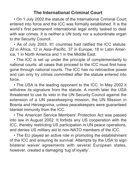### **The International Criminal Court**

• On 1 July 2002 the statute of the International Criminal Court entered into force and the ICC was formally established. It is the world's first permanent international legal entity tasked to deal with war crimes. It is neither a UN body nor a subordinate organ to the Security Council.

• As of July 2003, 91 countries had ratified the ICC statute: 22 in Africa, 12 in Asia–Pacific, 37 in Europe, 18 in Latin America, 1 in North America and 1 in the Middle East.

• The ICC is set up under the principle of complementarity to national courts: all cases that proceed to the ICC must first have gone through national courts. The ICC has no retroactive power and can only try crimes committed after the statute entered into force.

• The USA is the leading opponent to the ICC. In May 2002 it withdrew its signature from the statute. A month later the USA threatened to use its veto in the UN Security Council against the extension of a UN peacekeeping mission, the UN Mission in Bosnia and Herzegovina, unless peacekeepers were guaranteed blanket immunity from the ICC.

• The American Service Members' Protection Act was passed into law in August 2002. It forbids any US cooperation with the ICC, thereby restricting US participation in UN peace operations, and denies US military aid to non-NATO members of the ICC.

• The EU played an active role in promoting the establishment of the ICC and ensuring its survival. Attempts by the USA to sign bilateral waiver agreements with several European states, however, created a damaging 'tug of loyalty'.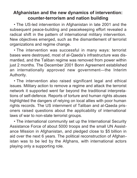### **Afghanistan and the new dynamics of intervention: counter-terrorism and nation building**

• The US-led intervention in Afghanistan in late 2001 and the subsequent peace-building and peacekeeping effort revealed a radical shift in the pattern of international military intervention. New objectives emerged, such as the dismantlement of terrorist organizations and regime change.

• The intervention was successful in many ways: terrorist bases were destroyed, most of al-Qaeda's infrastructure was dismantled, and the Taliban regime was removed from power within just 2 months. The December 2001 Bonn Agreement established an internationally approved new government—the Interim Authority.

• The intervention also raised significant legal and ethical issues. Military action to remove a regime and attack the terrorist network it supported went far beyond the traditional interpretations of self-defence. Reports of torture and human rights abuses highlighted the dangers of relying on local allies with poor human rights records. The US internment of Taliban and al-Qaeda prisoners raised questions about the applicability of international laws of war to non-state terrorist groups.

• The international community set up the International Security Assistance Force of about 5000 troops and the small UN Assistance Mission in Afghanistan, and pledged close to \$5 billion in aid over the next 6 years. The political reconstruction of Afghanistan was to be led by the Afghans, with international actors playing only a supporting role.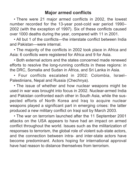### **Major armed conflicts**

• There were 21 major armed conflicts in 2002, the lowest number recorded for the 13-year post-cold war period 1990– 2002 (with the exception of 1997). Six of these conflicts caused over 1000 deaths during the year, compared with 11 in 2001.

• All but 1 of the conflicts—the interstate conflict between India and Pakistan—were internal.

• The majority of the conflicts in 2002 took place in Africa and Asia: 6 conflicts were registered for Africa and 9 for Asia.

• Both external actors and the states concerned made renewed efforts to resolve the long-running conflicts in these regions: in the DRC, Somalia and Sudan in Africa, and Sri Lanka in Asia.

• Four conflicts escalated in 2002: Colombia, Israel– Palestinians, Nepal and Russia (Chechnya).

• The issue of whether and how nuclear weapons might be used in war was brought into focus in 2002. Nuclear-armed India and Pakistan confronted each other in South Asia, while the suspected efforts of North Korea and Iraq to acquire nuclear weapons played a significant part in emerging crises: the latter produced a new military conflict on Iraqi soil by March 2003.

• The war on terrorism launched after the 11 September 2001 attacks on the USA appears to have had an impact on armed conflict throughout the world. Issues such as the militarization of responses to terrorism, the global role of violent sub-state actors, and the connection between intra- and inter-state actors have become predominant. Actors hoping for international approval have had reason to distance themselves from terrorism.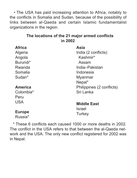• The USA has paid increasing attention to Africa, notably to the conflicts in Somalia and Sudan, because of the possibility of links between al-Qaeda and certain Islamic fundamentalist organizations in the region.

### **The locations of the 21 major armed conflicts in 2002**

| Africa        | Asia                      |
|---------------|---------------------------|
| Algeria       | India (2 conflicts):      |
| Angola        | Kashmir*                  |
| Burundi*      | Assam                     |
| Rwanda        | India–Pakistan            |
| Somalia       | Indonesia                 |
| Sudan*        | Myanmar                   |
|               | Nepal*                    |
| America       | Philippines (2 conflicts) |
| Colombia*     | Sri Lanka                 |
| Peru          |                           |
| USA           | <b>Middle East</b>        |
|               | Israel                    |
| <b>Europe</b> | Turkey                    |
| Russia*       |                           |

\* These 6 conflicts each caused 1000 or more deaths in 2002. The conflict in the USA refers to that between the al-Qaeda network and the USA. The only new conflict registered for 2002 was in Nepal.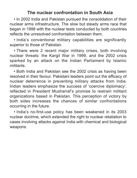### **The nuclear confrontation in South Asia**

• In 2002 India and Pakistan pursued the consolidation of their nuclear arms infrastructure. The slow but steady arms race that began in 1998 with the nuclear tests conducted by both countries reflects the unresolved confrontation between them.

• India's conventional military capabilities are significantly superior to those of Pakistan.

• There were 2 recent major military crises, both involving nuclear threats: the Kargil War in 1999, and the 2002 crisis sparked by an attack on the Indian Parliament by Islamic militants.

• Both India and Pakistan see the 2002 crisis as having been resolved in their favour. Pakistani leaders point out the efficacy of nuclear deterrence in preventing military attacks from India. Indian leaders emphasize the success of 'coercive diplomacy', reflected in President Musharraf's promise to restrain militant organizations based in Pakistan. This perception of victory by both sides increases the chances of similar confrontations occurring in the future.

• India's no-first-use policy has been weakened in its 2003 nuclear doctrine, which extended the right to nuclear retaliation to cases involving attacks against India with chemical and biological weapons.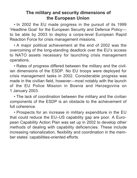### **The military and security dimensions of the European Union**

• In 2002 the EU made progress in the pursuit of its 1999 'Headline Goal' for the European Security and Defence Policy to be able by 2003 to deploy a corps-level European Rapid Reaction Force for crisis management missions.

• A major political achievement at the end of 2002 was the overcoming of the long-standing deadlock over the EU's access to NATO assets necessary for launching crisis management operations.

• Rates of progress differed between the military and the civilian dimensions of the ESDP. No EU troops were deployed for crisis management tasks in 2002. Considerable progress was made in the civilian field, however—most notably with the launch of the EU Police Mission in Bosnia and Herzegovina on 1 January 2003.

• The lack of coordination between the military and the civilian components of the ESDP is an obstacle to the achievement of full coherence.

• Prospects for an increase in military expenditure in the EU that could reduce the EU–US capability gap are poor. A European Capability Action Plan was set up in 2002 to develop other methods of dealing with capability deficiencies. These include increasing rationalization, flexibility and coordination in the member states' capabilities-oriented efforts.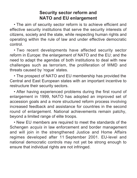### **Security sector reform and NATO and EU enlargement**

• The aim of security sector reform is to achieve efficient and effective security institutions that serve the security interests of citizens, society and the state, while respecting human rights and operating within the rule of law and under effective democratic control.

• Two recent developments have affected security sector reform in Europe: the enlargement of NATO and the EU; and the need to adapt the agendas of both institutions to deal with new challenges such as terrorism, the proliferation of WMD and threats caused by 'rogue' states.

• The prospect of NATO and EU membership has provided the Central and East European states with an important incentive to restructure their security sectors.

• After having experienced problems during the first round of enlargement in 1999, NATO has adopted an improved set of accession goals and a more structured reform process involving increased feedback and assistance for countries in the second round of enlargement. National achievements remain patchy, beyond a limited range of elite troops.

• New EU members are required to meet the standards of the Schengen *acquis* in law enforcement and border management and will join in the strengthened Justice and Home Affairs regimes developed after 11 September 2001. EU-level and national democratic controls may not yet be strong enough to ensure that individual rights are not infringed.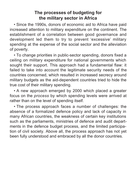### **The processes of budgeting for the military sector in Africa**

• Since the 1990s, donors of economic aid to Africa have paid increased attention to military expenditure on the continent. The establishment of a correlation between good governance and development led them to try to prevent 'excessive' military spending at the expense of the social sector and the alleviation of poverty.

• To change priorities in public-sector spending, donors fixed a ceiling on military expenditure for national governments which sought their support. This approach had a fundamental flaw: it failed to take into account the legitimate security needs of the countries concerned, which resulted in increased secrecy around military budgets as the aid-dependent countries tried to hide the true cost of their military spending.

• A new approach emerged by 2000 which placed a greater focus on the *process* by which spending levels were arrived at rather than on the level of spending itself.

• The process approach faces a number of challenges: the absence of a formalized defence policy and lack of capacity in many African countries, the weakness of certain key institutions such as the parliaments, ministries of defence and audit departments in the defence budget process, and the limited participation of civil society. Above all, the process approach has not yet been fully understood and embraced by all the donor countries.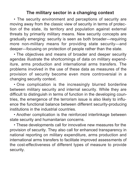### **The military sector in a changing context**

• The security environment and perceptions of security are moving away from the classic view of security in terms of protection of the state, its territory and population against external threats by primarily military means. New security concepts are gradually emerging: security is seen as both broader—requiring more non-military means for providing state security—and deeper—focusing on protection of people rather than the state.

• The objectives and means of broader and deeper security agendas illustrate the shortcomings of data on military expenditure, arms production and international arms transfers. The problems involved in the use of these data as measures of the provision of security become even more controversial in a changing security context.

• One complication is the increasingly blurred borderline between military security and internal security. While they are difficult to distinguish in terms of function in the developing countries, the emergence of the terrorism issue is also likely to influence the functional balance between different security-producing institutions in the industrial countries.

• Another complication is the reinforced interlinkage between state security and humanitarian concerns.

• These developments call for innovative new measures for the provision of security. They also call for enhanced transparency in national reporting on military expenditure, arms production and international arms transfers to facilitate improved assessments of the cost-effectiveness of different types of measure to provide security.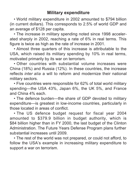### **Military expenditure**

• World military expenditure in 2002 amounted to \$794 billion (in current dollars). This corresponds to 2.5% of world GDP and an average of \$128 per capita.

• The increase in military spending noted since 1998 accelerated sharply in 2002, reaching a rate of 6% in real terms. This figure is twice as high as the rate of increase in 2001.

• Almost three quarters of this increase is attributable to the USA, which raised its military spending by 10% in real terms, motivated primarily by its war on terrorism.

• Other countries with substantial volume increases were China (18%) and Russia (12%). In these countries, the increase reflects *inter alia* a will to reform and modernize their national military sectors.

• Five countries were responsible for 62% of total world military spending—the USA 43%, Japan 6%, the UK 5%, and France and China 4% each.

• The defence burden—the share of GDP devoted to military expenditure—is greatest in low-income countries, particularly in those located in areas of conflict.

• The US defence budget request for fiscal year 2004 amounted to \$379.9 billion in budget authority, which is \$84 billion higher than in FY 2000, the last budget of the Clinton Administration. The Future Years Defense Program plans further substantial increases until 2009.

• The rest of the world was not prepared, or could not afford, to follow the USA's example in increasing military expenditure to support a war on terrorism.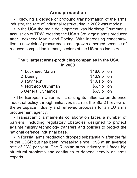### **Arms production**

• Following a decade of profound transformation of the arms industry, the rate of industrial restructuring in 2002 was modest.

• In the USA the main development was Northrop Grumman's acquisition of TRW, creating the USA's 3rd largest arms producer after Lockheed Martin and Boeing. With increasing concentration, a new risk of procurement cost growth emerged because of reduced competition in many sectors of the US arms industry.

### **The 5 largest arms-producing companies in the USA in 2000**

| 1 Lockheed Martin  | \$18.6 billion |
|--------------------|----------------|
| 2 Boeing           | \$16.9 billion |
| 3 Raytheon         | \$10.1 billion |
| 4 Northrop Grumman | \$6.7 billion  |
| 5 General Dynamics | \$6.5 billion  |

• The European Union is increasing its influence on defence industrial policy through initiatives such as the Star21 review of the aerospace industry and renewed proposals for an EU arms procurement agency.

• Transatlantic armaments collaboration faces a number of barriers, including regulatory obstacles designed to protect against military technology transfers and policies to protect the national defence industrial base.

• In Russia, arms production dropped substantially after the fall of the USSR but has been increasing since 1998 at an average rate of 23% per year. The Russian arms industry still faces big structural problems and continues to depend heavily on arms exports.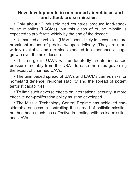### **New developments in unmanned air vehicles and land-attack cruise missiles**

• Only about 12 industrialized countries produce land-attack cruise missiles (LACMs), but this class of cruise missile is expected to proliferate widely by the end of the decade.

• Unmanned air vehicles (UAVs) seem likely to become a more prominent means of precise weapon delivery. They are more widely available and are also expected to experience a huge growth over the next decade.

• This surge in UAVs will undoubtedly create increased pressure—notably from the USA—to ease the rules governing the export of unarmed UAVs.

• The unimpeded spread of UAVs and LACMs carries risks for homeland defence, regional stability and the spread of potent terrorist capabilities.

• To limit such adverse effects on international security, a more effective non-proliferation policy must be developed.

• The Missile Technology Control Regime has achieved considerable success in controlling the spread of ballistic missiles but has been much less effective in dealing with cruise missiles and UAVs.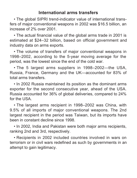### **International arms transfers**

• The global SIPRI trend-indicator value of international transfers of major conventional weapons in 2002 was \$16.5 billion, an increase of 2% over 2001.

• The actual financial value of the global arms trade in 2001 is estimated at \$24–32 billion, based on official government and industry data on arms exports.

• The volume of transfers of major conventional weapons in 1998–2002, according to the 5-year moving average for the period, was the lowest since the end of the cold war.

• The 5 largest arms suppliers in 1998–2002—the USA, Russia, France, Germany and the UK—accounted for 83% of total arms transfers.

• In 2002 Russia maintained its position as the dominant arms exporter for the second consecutive year, ahead of the USA. Russia accounted for 36% of global deliveries, compared to 24% for the USA.

• The largest arms recipient in 1998–2002 was China, with 9.5% of all imports of major conventional weapons. The 2nd largest recipient in the period was Taiwan, but its imports have been in constant decline since 1998.

• In 2002, India and Pakistan were both major arms recipients, ranking 2nd and 3rd, respectively.

• Recipients in 2002 included countries involved in wars on terrorism or in civil wars redefined as such by governments in an attempt to gain legitimacy.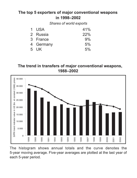### **The top 5 exporters of major conventional weapons in 1998–2002**

*Shares of world exports*

| 1 USA     | 41% |
|-----------|-----|
| 2 Russia  | 22% |
| 3 France  | 9%  |
| 4 Germany | 5%  |
| 5 UK      | 5%  |

**The trend in transfers of major conventional weapons, 1988–2002**



The histogram shows annual totals and the curve denotes the 5-year moving average. Five-year averages are plotted at the last year of each 5-year period.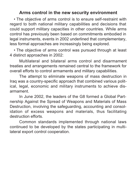### **Arms control in the new security environment**

• The objective of arms control is to ensure self-restraint with regard to both national military capabilities and decisions that could support military capacities in other countries. While arms control has previously been based on commitments embodied in legal instruments, events in 2002 underlined that complementary, less formal approaches are increasingly being explored.

• The objective of arms control was pursued through at least 4 distinct approaches in 2002:

Multilateral and bilateral arms control and disarmament treaties and arrangements remained central to the framework for overall efforts to control armaments and military capabilities.

The attempt to eliminate weapons of mass destruction in Iraq was a country-specific approach that combined various political, legal, economic and military instruments to achieve disarmament.

In June 2002, the leaders of the G8 formed a Global Partnership Against the Spread of Weapons and Materials of Mass Destruction, involving the safeguarding, accounting and consolidation of excess weapons and materials, thus facilitating destruction efforts.

Common standards implemented through national laws continued to be developed by the states participating in multilateral export control cooperation.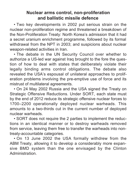### **Nuclear arms control, non-proliferation and ballistic missile defence**

• Two key developments in 2002 put serious strain on the nuclear non-proliferation regime and threatened a breakdown of the Non-Proliferation Treaty: North Korea's admission that it had a secret uranium enrichment programme, followed by its formal withdrawal from the NPT in 2003; and suspicions about nuclear weapon-related activities in Iran.

• The debate in the UN Security Council over whether to authorize a US-led war against Iraq brought to the fore the question of how to deal with states that deliberately violate their legally binding arms control obligations. The debate also revealed the USA's espousal of unilateral approaches to proliferation problems involving the pre-emptive use of force and its mistrust of multilateral agreements.

• On 24 May 2002 Russia and the USA signed the Treaty on Strategic Offensive Reductions. Under SORT, each state must by the end of 2012 reduce its strategic offensive nuclear forces to 1700–2200 operationally deployed nuclear warheads. This amounts to a two-thirds cut in the current number of deployed nuclear warheads.

• SORT does not require the 2 parties to implement the reductions in an identical manner or to destroy warheads removed from service, leaving them free to transfer the warheads into nontreaty-accountable categories.

• On 13 June 2002 the USA formally withdrew from the ABM Treaty, allowing it to develop a considerably more expansive BMD system than the one envisaged by the Clinton Administration.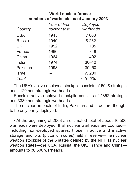### **World nuclear forces: numbers of warheads as of January 2003**

| Country    | Year of first<br>nuclear test | Deployed<br>warheads |
|------------|-------------------------------|----------------------|
| <b>USA</b> | 1945                          | 7068                 |
| Russia     | 1949                          | 8 2 3 2              |
| UK         | 1952                          | 185                  |
| France     | 1960                          | 348                  |
| China      | 1964                          | 402                  |
| India      | 1974                          | $30 - 40$            |
| Pakistan   | 1998                          | $30 - 50$            |
| Israel     |                               | c. 200               |
| Total      |                               | c. 16 500            |

The USA's active deployed stockpile consists of 5948 strategic and 1120 non-strategic warheads.

Russia's active deployed stockpile consists of 4852 strategic and 3380 non-strategic warheads.

The nuclear arsenals of India, Pakistan and Israel are thought to be only partly deployed.

• At the beginning of 2003 an estimated total of about 16 500 warheads were deployed. If all nuclear warheads are counted including non-deployed spares, those in active and inactive storage, and 'pits' (plutonium cores) held in reserve—the nuclear weapon stockpile of the 5 states defined by the NPT as nuclear weapon states—the USA, Russia, the UK, France and China amounts to 36 500 warheads.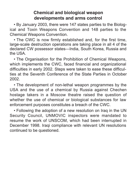### **Chemical and biological weapon developments and arms control**

• By January 2003, there were 147 states parties to the Biological and Toxin Weapons Convention and 148 parties to the Chemical Weapons Convention.

• The CWC is now firmly established and, for the first time, large-scale destruction operations are taking place in all 4 of the declared CW possessor states—India, South Korea, Russia and  $H \cap L$ 

• The Organisation for the Prohibition of Chemical Weapons, which implements the CWC, faced financial and organizational difficulties in early 2002. Steps were taken to ease these difficulties at the Seventh Conference of the State Parties in October 2002.

• The development of non-lethal weapon programmes by the USA and the use of a chemical by Russia against Chechen hostage takers in a Moscow theatre raised the question of whether the use of chemical or biological substances for law enforcement purposes constitutes a breach of the CWC.

• Following the adoption of a new resolution on Iraq in the UN Security Council, UNMOVIC inspectors were mandated to resume the work of UNSCOM, which had been interrupted in December 1998. Iraqi compliance with relevant UN resolutions continued to be questioned.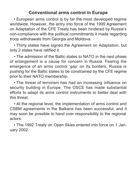### **Conventional arms control in Europe**

• European arms control is by far the most developed regime worldwide. However, the entry into force of the 1999 Agreement on Adaptation of the CFE Treaty has been hindered by Russia's non-compliance with the political commitments it made regarding troop withdrawals from Georgia and Moldova.

• Thirty states have signed the Agreement on Adaptation, but only 2 states have ratified it.

• The admission of the Baltic states to NATO in the next phase of enlargement is a cause for concern in Russia. Fearing the emergence of an arms control 'gap' on its borders, Russia is pushing for the Baltic states to be constrained by the CFE regime prior to their NATO membership.

• The threat of terrorism has had an increasing influence on security building in Europe. The OSCE has made substantial efforts to adapt its arms control instruments to better deal with this threat.

• At the regional level, the implementation of arms control and CSBM agreements in the Balkans has been successful, and it may soon be possible to hand over responsibility to the regional actors.

• The 1992 Treaty on Open Skies entered into force on 1 January 2002.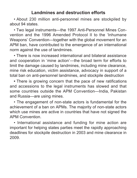### **Landmines and destruction efforts**

• About 230 million anti-personnel mines are stockpiled by about 94 states.

• Two legal instruments—the 1997 Anti-Personnel Mines Convention and the 1996 Amended Protocol II to the 'Inhumane Weapons' Convention—together with the global movement for an APM ban, have contributed to the emergence of an international norm against the use of landmines.

• There is now increased international and bilateral assistance and cooperation in 'mine action'—the broad term for efforts to limit the damage caused by landmines, including mine clearance, mine risk education, victim assistance, advocacy in support of a total ban on anti-personnel landmines, and stockpile destruction

**•** There is growing concern that the pace of new ratifications and accessions to the legal instruments has slowed and that some countries outside the APM Convention—India, Pakistan and Russia—are using mines.

• The engagement of non-state actors is fundamental for the achievement of a ban on APMs. The majority of non-state actors which use mines are active in countries that have not signed the APM Convention.

• International assistance and funding for mine action are important for helping states parties meet the rapidly approaching deadlines for stockpile destruction in 2003 and mine clearance in 2009.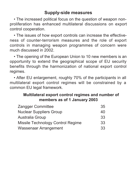### **Supply-side measures**

• The increased political focus on the question of weapon nonproliferation has enhanced multilateral discussions on export control cooperation.

• The issues of how export controls can increase the effectiveness of counter-terrorism measures and the role of export controls in managing weapon programmes of concern were much discussed in 2002.

• The opening of the European Union to 10 new members is an opportunity to extend the geographical scope of EU security benefits through the harmonization of national export control regimes.

• After EU enlargement, roughly 70% of the participants in all multilateral export control regimes will be constrained by a common EU legal framework.

### **Multilateral export control regimes and number of members as of 1 January 2003**

| Zangger Committee                 | 35 |
|-----------------------------------|----|
| Nuclear Suppliers Group           | 40 |
| Australia Group                   | 33 |
| Missile Technology Control Regime | 33 |
| Wassenaar Arrangement             | 33 |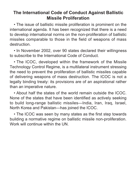### **The International Code of Conduct Against Ballistic Missile Proliferation**

• The issue of ballistic missile proliferation is prominent on the international agenda. It has been recognized that there is a need to develop international norms on the non-proliferation of ballistic missiles comparable to those in the field of weapons of mass destruction.

• In November 2002, over 90 states declared their willingness to subscribe to the International Code of Conduct.

• The ICOC, developed within the framework of the Missile Technology Control Regime, is a multilateral instrument stressing the need to prevent the proliferation of ballistic missiles capable of delivering weapons of mass destruction. The ICOC is not a legally binding treaty: its provisions are of an aspirational rather than an imperative nature.

• About half the states of the world remain outside the ICOC. None of the states that have been identified as actively seeking to build long-range ballistic missiles—India, Iran, Iraq, Israel, North Korea and Pakistan—has joined the ICOC.

• The ICOC was seen by many states as the first step towards building a normative regime on ballistic missile non-proliferation. Work will continue within the UN.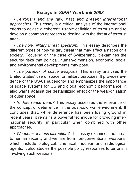### **Essays in** *SIPRI Yearbook 2003*

• *Terrorism and the law: past and present international approaches.* This essay is a critical analysis of the international efforts to devise a coherent, usable definition of terrorism and to develop a common approach to dealing with the threat of terrorist attack.

• *The non-military threat spectrum.* This essay describes the different types of non-military threat that may affect a nation or a society. Focusing on the case of Switzerland, it examines the security risks that political, human-dimension, economic, social and environmental developments may pose.

• *The paradox of space weapons.* This essay analyses the United States' use of space for military purposes. It provides evidence of the USA's superiority and emphasizes the importance of space systems for US and global economic performance. It also warns against the destabilizing effect of the weaponization of outer space.

• *Is deterrence dead?* This essay assesses the relevance of the concept of deterrence in the post-cold war environment. It concludes that, while deterrence has been losing ground in recent years, it remains a powerful technique for providing international security, in particular when combined with other approaches.

• *Weapons of mass disruption?* This essay examines the threat to human security and welfare from non-conventional weapons, which include biological, chemical, nuclear and radiological agents. It also studies the possible policy responses to terrorism involving such weapons.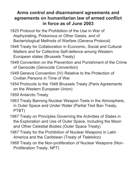### **Arms control and disarmament agreements and agreements on humanitarian law of armed conflict in force as of June 2003**

- *1925* Protocol for the Prohibition of the Use in War of Asphyxiating, Poisonous or Other Gases, and of Bacteriological Methods of Warfare (Geneva Protocol)
- *1948* Treaty for Collaboration in Economic, Social and Cultural Matters and for Collective Self-defence among Western European states (Brussels Treaty)
- *1948* Convention on the Prevention and Punishment of the Crime of Genocide (Genocide Convention)
- *1949* Geneva Convention (IV) Relative to the Protection of Civilian Persons in Time of War
- *1954* Protocols to the 1948 Brussels Treaty (Paris Agreements on the Western European Union)
- *1959* Antarctic Treaty
- *1963* Treaty Banning Nuclear Weapon Tests in the Atmosphere, in Outer Space and Under Water (Partial Test Ban Treaty, PTBT)
- *1967* Treaty on Principles Governing the Activities of States in the Exploration and Use of Outer Space, Including the Moon and Other Celestial Bodies (Outer Space Treaty)
- *1967* Treaty for the Prohibition of Nuclear Weapons in Latin America and the Caribbean (Treaty of Tlatelolco)
- *1968* Treaty on the Non-proliferation of Nuclear Weapons (Non-Proliferation Treaty, NPT)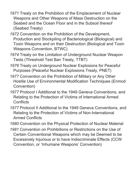- *1971* Treaty on the Prohibition of the Emplacement of Nuclear Weapons and Other Weapons of Mass Destruction on the Seabed and the Ocean Floor and in the Subsoil thereof (Seabed Treaty)
- *1972* Convention on the Prohibition of the Development, Production and Stockpiling of Bacteriological (Biological) and Toxin Weapons and on their Destruction (Biological and Toxin Weapons Convention, BTWC)
- *1974* Treaty on the Limitation of Underground Nuclear Weapon Tests (Threshold Test Ban Treaty, TTBT)
- *1976* Treaty on Underground Nuclear Explosions for Peaceful Purposes (Peaceful Nuclear Explosions Treaty, PNET)
- *1977* Convention on the Prohibition of Military or Any Other Hostile Use of Environmental Modification Techniques (Enmod Convention)
- *1977* Protocol I Additional to the 1949 Geneva Conventions, and Relating to the Protection of Victims of International Armed **Conflicts**
- *1977* Protocol II Additional to the 1949 Geneva Conventions, and Relating to the Protection of Victims of Non-International Armed Conflicts
- *1980* Convention on the Physical Protection of Nuclear Material
- *1981* Convention on Prohibitions or Restrictions on the Use of Certain Conventional Weapons which may be Deemed to be Excessively Injurious or to have Indiscriminate Effects (CCW Convention, or 'Inhumane Weapons' Convention)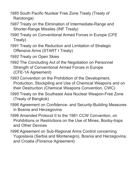- *1985* South Pacific Nuclear Free Zone Treaty (Treaty of Rarotonga)
- *1987* Treaty on the Elimination of Intermediate-Range and Shorter-Range Missiles (INF Treaty)
- *1990* Treaty on Conventional Armed Forces in Europe (CFE Treaty)
- *1991* Treaty on the Reduction and Limitation of Strategic Offensive Arms (START I Treaty)
- *1992* Treaty on Open Skies
- *1992* The Concluding Act of the Negotiation on Personnel Strength of Conventional Armed Forces in Europe (CFE-1A Agreement)
- *1993* Convention on the Prohibition of the Development, Production, Stockpiling and Use of Chemical Weapons and on their Destruction (Chemical Weapons Convention, CWC)
- *1995* Treaty on the Southeast Asia Nuclear Weapon-Free Zone (Treaty of Bangkok)
- *1996* Agreement on Confidence- and Security-Building Measures in Bosnia and Herzegovina
- *1996* Amended Protocol II to the 1981 CCW Convention, on Prohibitions or Restrictions on the Use of Mines, Booby-traps and Other Devices
- *1996* Agreement on Sub-Regional Arms Control concerning Yugoslavia (Serbia and Montenegro), Bosnia and Herzegovina, and Croatia (Florence Agreement)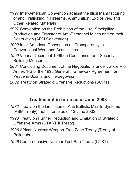- *1997* Inter-American Convention against the Illicit Manufacturing of and Trafficking in Firearms, Ammunition, Explosives, and Other Related Materials
- *1997* Convention on the Prohibition of the Use, Stockpiling, Production and Transfer of Anti-Personnel Mines and on their Destruction (APM Convention)
- *1999* Inter-American Convention on Transparency in Conventional Weapons Acquisitions
- *1999* Vienna Document 1999 on Confidence- and Security-Building Measures
- *2001* Concluding Document of the Negotiations under Article V of Annex 1-B of the 1995 General Framework Agreement for Peace in Bosnia and Herzegovina
- *2002* Treaty on Strategic Offensive Reductions (SORT)

### **Treaties not in force as of June 2003**

- *1972* Treaty on the Limitation of Anti-Ballistic Missile Systems (ABM Treaty): not in force as of 13 June 2002
- *1993* Treaty on Further Reduction and Limitation of Strategic Offensive Arms (START II Treaty)
- *1996* African Nuclear-Weapon-Free Zone Treaty (Treaty of Pelindaba)
- *1996* Comprehensive Nuclear Test-Ban Treaty (CTBT)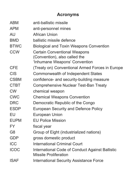### **Acronyms**

| <b>ABM</b>     | anti-ballistic missile                                                   |
|----------------|--------------------------------------------------------------------------|
| <b>APM</b>     | anti-personnel mines                                                     |
| AU             | African Union                                                            |
| <b>BMD</b>     | ballistic missile defence                                                |
| <b>BTWC</b>    | Biological and Toxin Weapons Convention                                  |
| <b>CCW</b>     | <b>Certain Conventional Weapons</b>                                      |
|                | (Convention), also called the                                            |
|                | 'Inhumane Weapons' Convention                                            |
| <b>CFE</b>     | (Treaty on) Conventional Armed Forces in Europe                          |
| <b>CIS</b>     | Commonwealth of Independent States                                       |
| <b>CSBM</b>    | confidence- and security-building measure                                |
| <b>CTBT</b>    | Comprehensive Nuclear Test-Ban Treaty                                    |
| <b>CW</b>      | chemical weapon                                                          |
| <b>CWC</b>     | <b>Chemical Weapons Convention</b>                                       |
| <b>DRC</b>     | Democratic Republic of the Congo                                         |
| <b>ESDP</b>    | European Security and Defence Policy                                     |
| EU             | European Union                                                           |
| <b>EUPM</b>    | <b>FU Police Mission</b>                                                 |
| <b>FY</b>      | fiscal year                                                              |
| G <sub>8</sub> | Group of Eight (industrialized nations)                                  |
| GDP            | gross domestic product                                                   |
| <b>ICC</b>     | International Criminal Court                                             |
| <b>ICOC</b>    | International Code of Conduct Against Ballistic<br>Missile Proliferation |
| <b>ISAF</b>    | International Security Assistance Force                                  |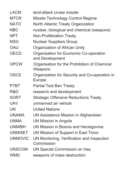| I ACM          | land-attack cruise missile                                |
|----------------|-----------------------------------------------------------|
| <b>MTCR</b>    | Missile Technology Control Regime                         |
| <b>NATO</b>    | North Atlantic Treaty Organization                        |
| <b>NBC</b>     | nuclear, biological and chemical (weapons)                |
| NPT            | <b>Non-Proliferation Treaty</b>                           |
| <b>NSG</b>     | <b>Nuclear Suppliers Group</b>                            |
| OAU            | Organization of African Unity                             |
| OECD           | Organisation for Economic Co-operation<br>and Development |
| <b>OPCW</b>    | Organisation for the Prohibition of Chemical<br>Weapons   |
| OSCE           | Organization for Security and Co-operation in<br>Europe   |
| PTBT           | Partial Test Ban Treaty                                   |
| R&D            | research and development                                  |
| SORT           | <b>Strategic Offensive Reductions Treaty</b>              |
| <b>UAV</b>     | unmanned air vehicle                                      |
| <b>UN</b>      | <b>United Nations</b>                                     |
| <b>UNAMA</b>   | UN Assistance Mission in Afghanistan                      |
| <b>UNMA</b>    | UN Mission in Angola                                      |
| <b>UNMIBH</b>  | UN Mission in Bosnia and Herzegovina                      |
| <b>UNMISET</b> | UN Mission of Support in East Timor                       |
| <b>UNMOVIC</b> | UN Monitoring, Verification and Inspection<br>Commission  |
| <b>UNSCOM</b>  | UN Special Commission on Iraq                             |
| <b>WMD</b>     | weapons of mass destruction                               |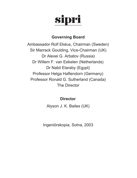# sipri

### **Governing Board**

Ambassador Rolf Ekéus, Chairman (Sweden) Sir Marrack Goulding, Vice-Chairman (UK) Dr Alexei G. Arbatov (Russia) Dr Willem F. van Eekelen (Netherlands) Dr Nabil Elaraby (Egypt) Professor Helga Haftendorn (Germany) Professor Ronald G. Sutherland (Canada) The Director

### **Director**

Alyson J. K. Bailes (UK)

Ingeniörskopia, Solna, 2003